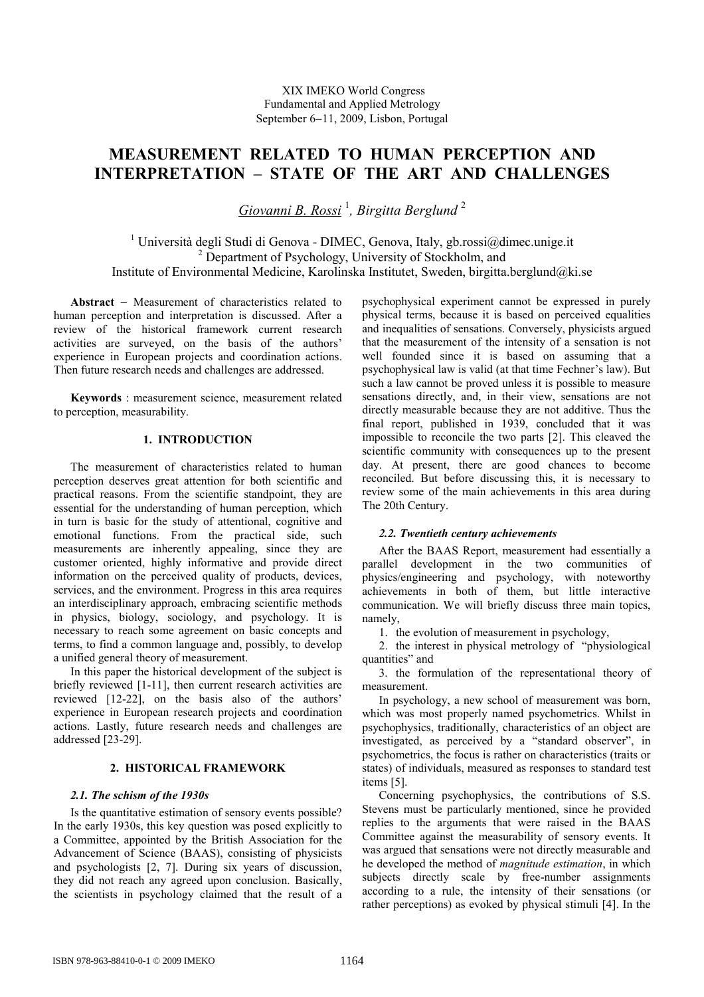# **MEASUREMENT RELATED TO HUMAN PERCEPTION AND INTERPRETATION – STATE OF THE ART AND CHALLENGES**

*Giovanni B. Rossi* <sup>1</sup> *, Birgitta Berglund* <sup>2</sup>

<sup>1</sup> Università degli Studi di Genova - DIMEC, Genova, Italy, gb.rossi@dimec.unige.it <sup>2</sup> Department of Psychology, University of Stockholm, and Institute of Environmental Medicine, Karolinska Institutet, Sweden, birgitta.berglund@ki.se

**Abstract** − Measurement of characteristics related to human perception and interpretation is discussed. After a review of the historical framework current research activities are surveyed, on the basis of the authors' experience in European projects and coordination actions. Then future research needs and challenges are addressed.

**Keywords** : measurement science, measurement related to perception, measurability.

# **1. INTRODUCTION**

The measurement of characteristics related to human perception deserves great attention for both scientific and practical reasons. From the scientific standpoint, they are essential for the understanding of human perception, which in turn is basic for the study of attentional, cognitive and emotional functions. From the practical side, such measurements are inherently appealing, since they are customer oriented, highly informative and provide direct information on the perceived quality of products, devices, services, and the environment. Progress in this area requires an interdisciplinary approach, embracing scientific methods in physics, biology, sociology, and psychology. It is necessary to reach some agreement on basic concepts and terms, to find a common language and, possibly, to develop a unified general theory of measurement.

In this paper the historical development of the subject is briefly reviewed [1-11], then current research activities are reviewed [12-22], on the basis also of the authors' experience in European research projects and coordination actions. Lastly, future research needs and challenges are addressed [23-29].

## **2. HISTORICAL FRAMEWORK**

## *2.1. The schism of the 1930s*

Is the quantitative estimation of sensory events possible? In the early 1930s, this key question was posed explicitly to a Committee, appointed by the British Association for the Advancement of Science (BAAS), consisting of physicists and psychologists [2, 7]. During six years of discussion, they did not reach any agreed upon conclusion. Basically, the scientists in psychology claimed that the result of a

psychophysical experiment cannot be expressed in purely physical terms, because it is based on perceived equalities and inequalities of sensations. Conversely, physicists argued that the measurement of the intensity of a sensation is not well founded since it is based on assuming that a psychophysical law is valid (at that time Fechner's law). But such a law cannot be proved unless it is possible to measure sensations directly, and, in their view, sensations are not directly measurable because they are not additive. Thus the final report, published in 1939, concluded that it was impossible to reconcile the two parts [2]. This cleaved the scientific community with consequences up to the present day. At present, there are good chances to become reconciled. But before discussing this, it is necessary to review some of the main achievements in this area during The 20th Century.

## *2.2. Twentieth century achievements*

After the BAAS Report, measurement had essentially a parallel development in the two communities of physics/engineering and psychology, with noteworthy achievements in both of them, but little interactive communication. We will briefly discuss three main topics, namely,

1. the evolution of measurement in psychology,

2. the interest in physical metrology of "physiological quantities" and

3. the formulation of the representational theory of measurement.

In psychology, a new school of measurement was born, which was most properly named psychometrics. Whilst in psychophysics, traditionally, characteristics of an object are investigated, as perceived by a "standard observer", in psychometrics, the focus is rather on characteristics (traits or states) of individuals, measured as responses to standard test items [5].

Concerning psychophysics, the contributions of S.S. Stevens must be particularly mentioned, since he provided replies to the arguments that were raised in the BAAS Committee against the measurability of sensory events. It was argued that sensations were not directly measurable and he developed the method of *magnitude estimation*, in which subjects directly scale by free-number assignments according to a rule, the intensity of their sensations (or rather perceptions) as evoked by physical stimuli [4]. In the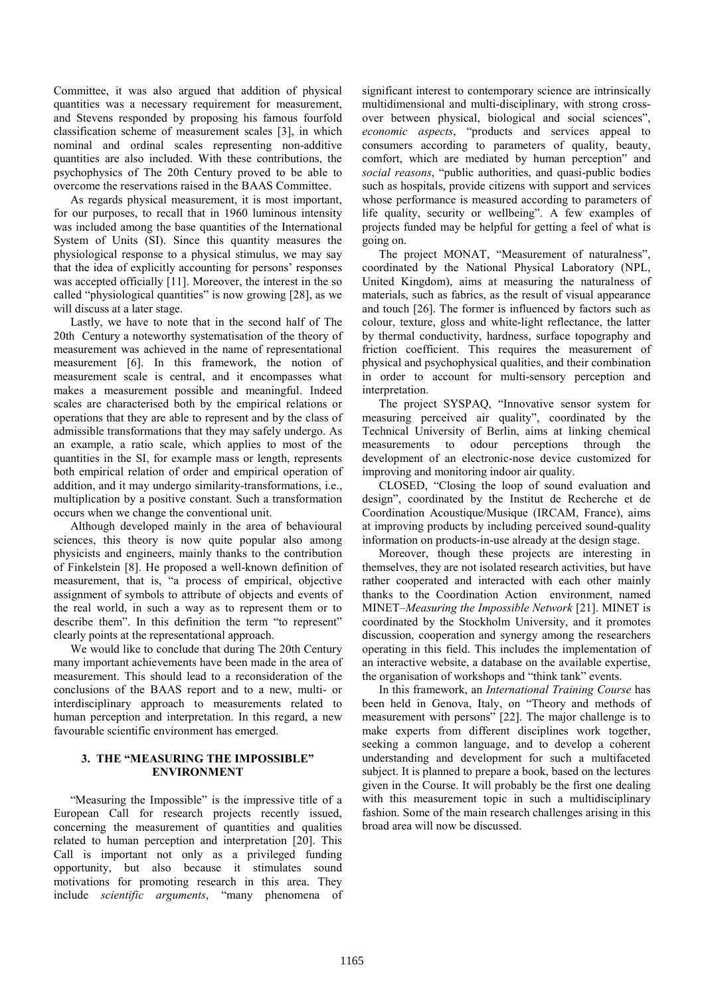Committee, it was also argued that addition of physical quantities was a necessary requirement for measurement, and Stevens responded by proposing his famous fourfold classification scheme of measurement scales [3], in which nominal and ordinal scales representing non-additive quantities are also included. With these contributions, the psychophysics of The 20th Century proved to be able to overcome the reservations raised in the BAAS Committee.

As regards physical measurement, it is most important, for our purposes, to recall that in 1960 luminous intensity was included among the base quantities of the International System of Units (SI). Since this quantity measures the physiological response to a physical stimulus, we may say that the idea of explicitly accounting for persons' responses was accepted officially [11]. Moreover, the interest in the so called "physiological quantities" is now growing [28], as we will discuss at a later stage.

Lastly, we have to note that in the second half of The 20th Century a noteworthy systematisation of the theory of measurement was achieved in the name of representational measurement [6]. In this framework, the notion of measurement scale is central, and it encompasses what makes a measurement possible and meaningful. Indeed scales are characterised both by the empirical relations or operations that they are able to represent and by the class of admissible transformations that they may safely undergo. As an example, a ratio scale, which applies to most of the quantities in the SI, for example mass or length, represents both empirical relation of order and empirical operation of addition, and it may undergo similarity-transformations, i.e., multiplication by a positive constant. Such a transformation occurs when we change the conventional unit.

Although developed mainly in the area of behavioural sciences, this theory is now quite popular also among physicists and engineers, mainly thanks to the contribution of Finkelstein [8]. He proposed a well-known definition of measurement, that is, "a process of empirical, objective assignment of symbols to attribute of objects and events of the real world, in such a way as to represent them or to describe them". In this definition the term "to represent" clearly points at the representational approach.

We would like to conclude that during The 20th Century many important achievements have been made in the area of measurement. This should lead to a reconsideration of the conclusions of the BAAS report and to a new, multi- or interdisciplinary approach to measurements related to human perception and interpretation. In this regard, a new favourable scientific environment has emerged.

## **3. THE "MEASURING THE IMPOSSIBLE" ENVIRONMENT**

"Measuring the Impossible" is the impressive title of a European Call for research projects recently issued, concerning the measurement of quantities and qualities related to human perception and interpretation [20]. This Call is important not only as a privileged funding opportunity, but also because it stimulates sound motivations for promoting research in this area. They include *scientific arguments*, "many phenomena of significant interest to contemporary science are intrinsically multidimensional and multi-disciplinary, with strong crossover between physical, biological and social sciences", *economic aspects*, "products and services appeal to consumers according to parameters of quality, beauty, comfort, which are mediated by human perception" and *social reasons*, "public authorities, and quasi-public bodies such as hospitals, provide citizens with support and services whose performance is measured according to parameters of life quality, security or wellbeing". A few examples of projects funded may be helpful for getting a feel of what is going on.

The project MONAT, "Measurement of naturalness", coordinated by the National Physical Laboratory (NPL, United Kingdom), aims at measuring the naturalness of materials, such as fabrics, as the result of visual appearance and touch [26]. The former is influenced by factors such as colour, texture, gloss and white-light reflectance, the latter by thermal conductivity, hardness, surface topography and friction coefficient. This requires the measurement of physical and psychophysical qualities, and their combination in order to account for multi-sensory perception and interpretation.

The project SYSPAQ, "Innovative sensor system for measuring perceived air quality", coordinated by the Technical University of Berlin, aims at linking chemical measurements to odour perceptions through the development of an electronic-nose device customized for improving and monitoring indoor air quality.

CLOSED, "Closing the loop of sound evaluation and design", coordinated by the Institut de Recherche et de Coordination Acoustique/Musique (IRCAM, France), aims at improving products by including perceived sound-quality information on products-in-use already at the design stage.

Moreover, though these projects are interesting in themselves, they are not isolated research activities, but have rather cooperated and interacted with each other mainly thanks to the Coordination Action environment, named MINET–*Measuring the Impossible Network* [21]. MINET is coordinated by the Stockholm University, and it promotes discussion, cooperation and synergy among the researchers operating in this field. This includes the implementation of an interactive website, a database on the available expertise, the organisation of workshops and "think tank" events.

In this framework, an *International Training Course* has been held in Genova, Italy, on "Theory and methods of measurement with persons" [22]. The major challenge is to make experts from different disciplines work together, seeking a common language, and to develop a coherent understanding and development for such a multifaceted subject. It is planned to prepare a book, based on the lectures given in the Course. It will probably be the first one dealing with this measurement topic in such a multidisciplinary fashion. Some of the main research challenges arising in this broad area will now be discussed.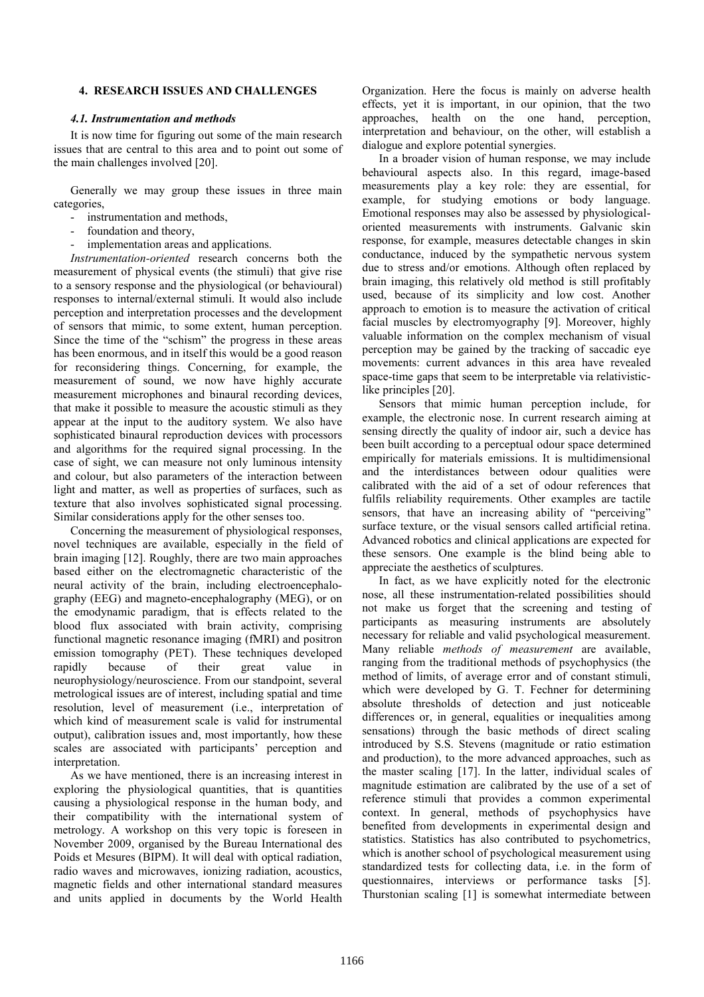## **4. RESEARCH ISSUES AND CHALLENGES**

#### *4.1. Instrumentation and methods*

It is now time for figuring out some of the main research issues that are central to this area and to point out some of the main challenges involved [20].

Generally we may group these issues in three main categories,

- instrumentation and methods,
- foundation and theory,
- implementation areas and applications.

*Instrumentation-oriented* research concerns both the measurement of physical events (the stimuli) that give rise to a sensory response and the physiological (or behavioural) responses to internal/external stimuli. It would also include perception and interpretation processes and the development of sensors that mimic, to some extent, human perception. Since the time of the "schism" the progress in these areas has been enormous, and in itself this would be a good reason for reconsidering things. Concerning, for example, the measurement of sound, we now have highly accurate measurement microphones and binaural recording devices, that make it possible to measure the acoustic stimuli as they appear at the input to the auditory system. We also have sophisticated binaural reproduction devices with processors and algorithms for the required signal processing. In the case of sight, we can measure not only luminous intensity and colour, but also parameters of the interaction between light and matter, as well as properties of surfaces, such as texture that also involves sophisticated signal processing. Similar considerations apply for the other senses too.

Concerning the measurement of physiological responses, novel techniques are available, especially in the field of brain imaging [12]. Roughly, there are two main approaches based either on the electromagnetic characteristic of the neural activity of the brain, including electroencephalography (EEG) and magneto-encephalography (MEG), or on the emodynamic paradigm, that is effects related to the blood flux associated with brain activity, comprising functional magnetic resonance imaging (fMRI) and positron emission tomography (PET). These techniques developed rapidly because of their great value in neurophysiology/neuroscience. From our standpoint, several metrological issues are of interest, including spatial and time resolution, level of measurement (i.e., interpretation of which kind of measurement scale is valid for instrumental output), calibration issues and, most importantly, how these scales are associated with participants' perception and interpretation.

As we have mentioned, there is an increasing interest in exploring the physiological quantities, that is quantities causing a physiological response in the human body, and their compatibility with the international system of metrology. A workshop on this very topic is foreseen in November 2009, organised by the Bureau International des Poids et Mesures (BIPM). It will deal with optical radiation, radio waves and microwaves, ionizing radiation, acoustics, magnetic fields and other international standard measures and units applied in documents by the World Health

Organization. Here the focus is mainly on adverse health effects, yet it is important, in our opinion, that the two approaches, health on the one hand, perception, interpretation and behaviour, on the other, will establish a dialogue and explore potential synergies.

In a broader vision of human response, we may include behavioural aspects also. In this regard, image-based measurements play a key role: they are essential, for example, for studying emotions or body language. Emotional responses may also be assessed by physiologicaloriented measurements with instruments. Galvanic skin response, for example, measures detectable changes in skin conductance, induced by the sympathetic nervous system due to stress and/or emotions. Although often replaced by brain imaging, this relatively old method is still profitably used, because of its simplicity and low cost. Another approach to emotion is to measure the activation of critical facial muscles by electromyography [9]. Moreover, highly valuable information on the complex mechanism of visual perception may be gained by the tracking of saccadic eye movements: current advances in this area have revealed space-time gaps that seem to be interpretable via relativisticlike principles [20].

Sensors that mimic human perception include, for example, the electronic nose. In current research aiming at sensing directly the quality of indoor air, such a device has been built according to a perceptual odour space determined empirically for materials emissions. It is multidimensional and the interdistances between odour qualities were calibrated with the aid of a set of odour references that fulfils reliability requirements. Other examples are tactile sensors, that have an increasing ability of "perceiving" surface texture, or the visual sensors called artificial retina. Advanced robotics and clinical applications are expected for these sensors. One example is the blind being able to appreciate the aesthetics of sculptures.

In fact, as we have explicitly noted for the electronic nose, all these instrumentation-related possibilities should not make us forget that the screening and testing of participants as measuring instruments are absolutely necessary for reliable and valid psychological measurement. Many reliable *methods of measurement* are available, ranging from the traditional methods of psychophysics (the method of limits, of average error and of constant stimuli, which were developed by G. T. Fechner for determining absolute thresholds of detection and just noticeable differences or, in general, equalities or inequalities among sensations) through the basic methods of direct scaling introduced by S.S. Stevens (magnitude or ratio estimation and production), to the more advanced approaches, such as the master scaling [17]. In the latter, individual scales of magnitude estimation are calibrated by the use of a set of reference stimuli that provides a common experimental context. In general, methods of psychophysics have benefited from developments in experimental design and statistics. Statistics has also contributed to psychometrics, which is another school of psychological measurement using standardized tests for collecting data, i.e. in the form of questionnaires, interviews or performance tasks [5]. Thurstonian scaling [1] is somewhat intermediate between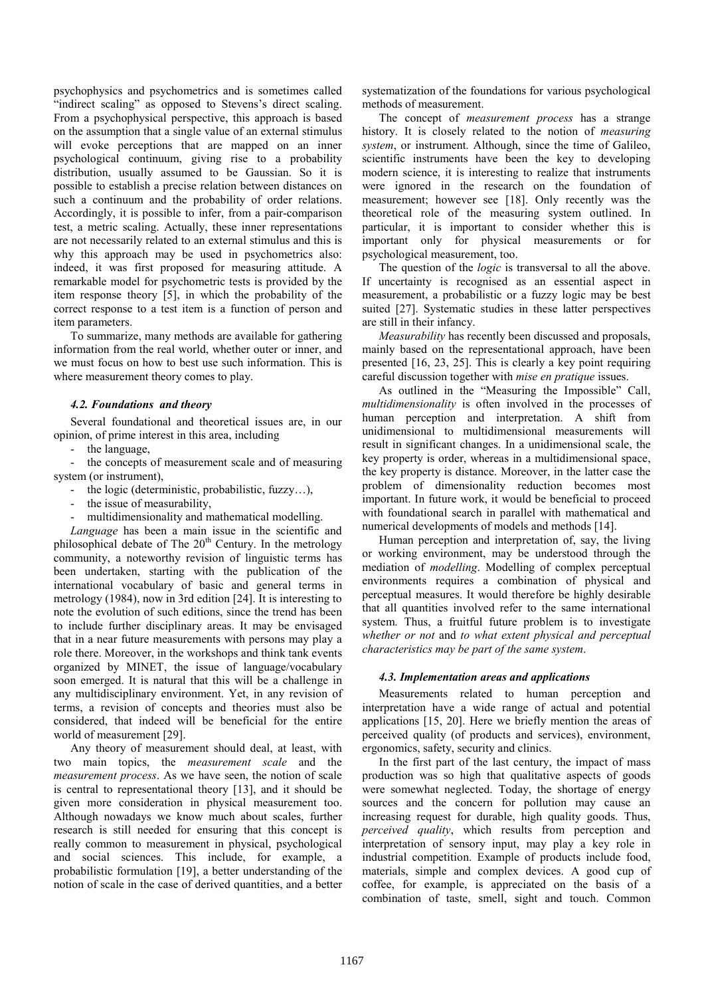psychophysics and psychometrics and is sometimes called "indirect scaling" as opposed to Stevens's direct scaling. From a psychophysical perspective, this approach is based on the assumption that a single value of an external stimulus will evoke perceptions that are mapped on an inner psychological continuum, giving rise to a probability distribution, usually assumed to be Gaussian. So it is possible to establish a precise relation between distances on such a continuum and the probability of order relations. Accordingly, it is possible to infer, from a pair-comparison test, a metric scaling. Actually, these inner representations are not necessarily related to an external stimulus and this is why this approach may be used in psychometrics also: indeed, it was first proposed for measuring attitude. A remarkable model for psychometric tests is provided by the item response theory [5], in which the probability of the correct response to a test item is a function of person and item parameters.

To summarize, many methods are available for gathering information from the real world, whether outer or inner, and we must focus on how to best use such information. This is where measurement theory comes to play.

## *4.2. Foundations and theory*

Several foundational and theoretical issues are, in our opinion, of prime interest in this area, including

- the language,

- the concepts of measurement scale and of measuring system (or instrument),

- the logic (deterministic, probabilistic, fuzzy…),
- the issue of measurability,
- multidimensionality and mathematical modelling.

*Language* has been a main issue in the scientific and philosophical debate of The  $20<sup>th</sup>$  Century. In the metrology community, a noteworthy revision of linguistic terms has been undertaken, starting with the publication of the international vocabulary of basic and general terms in metrology (1984), now in 3rd edition [24]. It is interesting to note the evolution of such editions, since the trend has been to include further disciplinary areas. It may be envisaged that in a near future measurements with persons may play a role there. Moreover, in the workshops and think tank events organized by MINET, the issue of language/vocabulary soon emerged. It is natural that this will be a challenge in any multidisciplinary environment. Yet, in any revision of terms, a revision of concepts and theories must also be considered, that indeed will be beneficial for the entire world of measurement [29].

Any theory of measurement should deal, at least, with two main topics, the *measurement scale* and the *measurement process*. As we have seen, the notion of scale is central to representational theory [13], and it should be given more consideration in physical measurement too. Although nowadays we know much about scales, further research is still needed for ensuring that this concept is really common to measurement in physical, psychological and social sciences. This include, for example, a probabilistic formulation [19], a better understanding of the notion of scale in the case of derived quantities, and a better systematization of the foundations for various psychological methods of measurement.

The concept of *measurement process* has a strange history. It is closely related to the notion of *measuring system*, or instrument. Although, since the time of Galileo, scientific instruments have been the key to developing modern science, it is interesting to realize that instruments were ignored in the research on the foundation of measurement; however see [18]. Only recently was the theoretical role of the measuring system outlined. In particular, it is important to consider whether this is important only for physical measurements or for psychological measurement, too.

The question of the *logic* is transversal to all the above. If uncertainty is recognised as an essential aspect in measurement, a probabilistic or a fuzzy logic may be best suited [27]. Systematic studies in these latter perspectives are still in their infancy.

*Measurability* has recently been discussed and proposals, mainly based on the representational approach, have been presented [16, 23, 25]. This is clearly a key point requiring careful discussion together with *mise en pratique* issues.

As outlined in the "Measuring the Impossible" Call, *multidimensionality* is often involved in the processes of human perception and interpretation. A shift from unidimensional to multidimensional measurements will result in significant changes. In a unidimensional scale, the key property is order, whereas in a multidimensional space, the key property is distance. Moreover, in the latter case the problem of dimensionality reduction becomes most important. In future work, it would be beneficial to proceed with foundational search in parallel with mathematical and numerical developments of models and methods [14].

Human perception and interpretation of, say, the living or working environment, may be understood through the mediation of *modelling*. Modelling of complex perceptual environments requires a combination of physical and perceptual measures. It would therefore be highly desirable that all quantities involved refer to the same international system. Thus, a fruitful future problem is to investigate *whether or not* and *to what extent physical and perceptual characteristics may be part of the same system*.

## *4.3. Implementation areas and applications*

Measurements related to human perception and interpretation have a wide range of actual and potential applications [15, 20]. Here we briefly mention the areas of perceived quality (of products and services), environment, ergonomics, safety, security and clinics.

In the first part of the last century, the impact of mass production was so high that qualitative aspects of goods were somewhat neglected. Today, the shortage of energy sources and the concern for pollution may cause an increasing request for durable, high quality goods. Thus, *perceived quality*, which results from perception and interpretation of sensory input, may play a key role in industrial competition. Example of products include food, materials, simple and complex devices. A good cup of coffee, for example, is appreciated on the basis of a combination of taste, smell, sight and touch. Common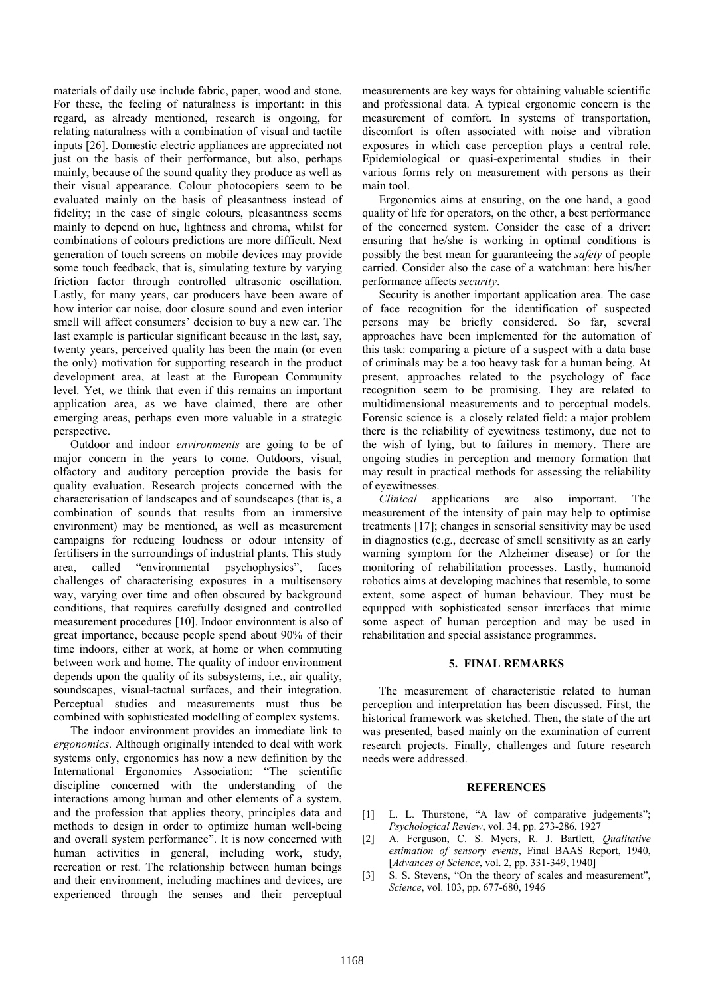materials of daily use include fabric, paper, wood and stone. For these, the feeling of naturalness is important: in this regard, as already mentioned, research is ongoing, for relating naturalness with a combination of visual and tactile inputs [26]. Domestic electric appliances are appreciated not just on the basis of their performance, but also, perhaps mainly, because of the sound quality they produce as well as their visual appearance. Colour photocopiers seem to be evaluated mainly on the basis of pleasantness instead of fidelity; in the case of single colours, pleasantness seems mainly to depend on hue, lightness and chroma, whilst for combinations of colours predictions are more difficult. Next generation of touch screens on mobile devices may provide some touch feedback, that is, simulating texture by varying friction factor through controlled ultrasonic oscillation. Lastly, for many years, car producers have been aware of how interior car noise, door closure sound and even interior smell will affect consumers' decision to buy a new car. The last example is particular significant because in the last, say, twenty years, perceived quality has been the main (or even the only) motivation for supporting research in the product development area, at least at the European Community level. Yet, we think that even if this remains an important application area, as we have claimed, there are other emerging areas, perhaps even more valuable in a strategic perspective.

Outdoor and indoor *environments* are going to be of major concern in the years to come. Outdoors, visual, olfactory and auditory perception provide the basis for quality evaluation. Research projects concerned with the characterisation of landscapes and of soundscapes (that is, a combination of sounds that results from an immersive environment) may be mentioned, as well as measurement campaigns for reducing loudness or odour intensity of fertilisers in the surroundings of industrial plants. This study area, called "environmental psychophysics", faces challenges of characterising exposures in a multisensory way, varying over time and often obscured by background conditions, that requires carefully designed and controlled measurement procedures [10]. Indoor environment is also of great importance, because people spend about 90% of their time indoors, either at work, at home or when commuting between work and home. The quality of indoor environment depends upon the quality of its subsystems, i.e., air quality, soundscapes, visual-tactual surfaces, and their integration. Perceptual studies and measurements must thus be combined with sophisticated modelling of complex systems.

The indoor environment provides an immediate link to *ergonomics*. Although originally intended to deal with work systems only, ergonomics has now a new definition by the International Ergonomics Association: "The scientific discipline concerned with the understanding of the interactions among human and other elements of a system, and the profession that applies theory, principles data and methods to design in order to optimize human well-being and overall system performance". It is now concerned with human activities in general, including work, study, recreation or rest. The relationship between human beings and their environment, including machines and devices, are experienced through the senses and their perceptual

measurements are key ways for obtaining valuable scientific and professional data. A typical ergonomic concern is the measurement of comfort. In systems of transportation, discomfort is often associated with noise and vibration exposures in which case perception plays a central role. Epidemiological or quasi-experimental studies in their various forms rely on measurement with persons as their main tool.

Ergonomics aims at ensuring, on the one hand, a good quality of life for operators, on the other, a best performance of the concerned system. Consider the case of a driver: ensuring that he/she is working in optimal conditions is possibly the best mean for guaranteeing the *safety* of people carried. Consider also the case of a watchman: here his/her performance affects *security*.

Security is another important application area. The case of face recognition for the identification of suspected persons may be briefly considered. So far, several approaches have been implemented for the automation of this task: comparing a picture of a suspect with a data base of criminals may be a too heavy task for a human being. At present, approaches related to the psychology of face recognition seem to be promising. They are related to multidimensional measurements and to perceptual models. Forensic science is a closely related field: a major problem there is the reliability of eyewitness testimony, due not to the wish of lying, but to failures in memory. There are ongoing studies in perception and memory formation that may result in practical methods for assessing the reliability of eyewitnesses.

*Clinical* applications are also important. The measurement of the intensity of pain may help to optimise treatments [17]; changes in sensorial sensitivity may be used in diagnostics (e.g., decrease of smell sensitivity as an early warning symptom for the Alzheimer disease) or for the monitoring of rehabilitation processes. Lastly, humanoid robotics aims at developing machines that resemble, to some extent, some aspect of human behaviour. They must be equipped with sophisticated sensor interfaces that mimic some aspect of human perception and may be used in rehabilitation and special assistance programmes.

## **5. FINAL REMARKS**

The measurement of characteristic related to human perception and interpretation has been discussed. First, the historical framework was sketched. Then, the state of the art was presented, based mainly on the examination of current research projects. Finally, challenges and future research needs were addressed.

#### **REFERENCES**

- [1] L. L. Thurstone, "A law of comparative judgements"; *Psychological Review*, vol. 34, pp. 273-286, 1927
- [2] A. Ferguson, C. S. Myers, R. J. Bartlett, *Qualitative estimation of sensory events*, Final BAAS Report, 1940, [*Advances of Science*, vol. 2, pp. 331-349, 1940]
- [3] S. S. Stevens, "On the theory of scales and measurement", *Science*, vol. 103, pp. 677-680, 1946